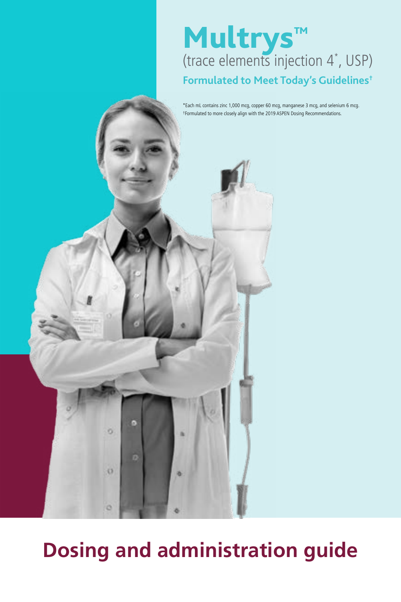## Multrys**™** (trace elements injection 4\* , USP) **Formulated to Meet Today's Guidelines†**

\*Each mL contains zinc 1,000 mcg, copper 60 mcg, manganese 3 mcg, and selenium 6 mcg. †Formulated to more closely align with the 2019 ASPEN Dosing Recommendations.

# **Dosing and administration guide**

ö

 $\sigma$ 

ö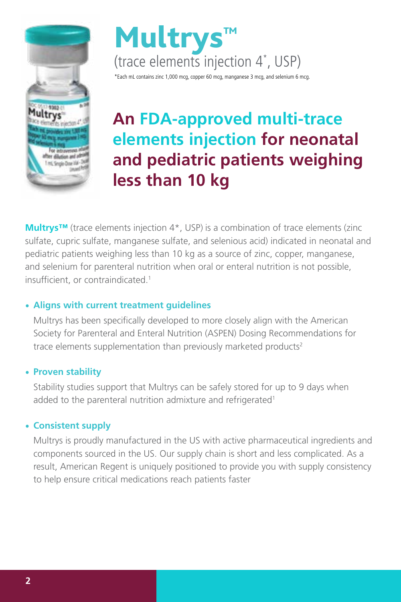



## **An FDA-approved multi-trace elements injection for neonatal and pediatric patients weighing less than 10 kg**

**Multrys™** (trace elements injection 4\*, USP) is a combination of trace elements (zinc sulfate, cupric sulfate, manganese sulfate, and selenious acid) indicated in neonatal and pediatric patients weighing less than 10 kg as a source of zinc, copper, manganese, and selenium for parenteral nutrition when oral or enteral nutrition is not possible, insufficient, or contraindicated.<sup>1</sup>

## • **Aligns with current treatment guidelines**

Multrys has been specifically developed to more closely align with the American Society for Parenteral and Enteral Nutrition (ASPEN) Dosing Recommendations for trace elements supplementation than previously marketed products<sup>2</sup>

### • **Proven stability**

Stability studies support that Multrys can be safely stored for up to 9 days when added to the parenteral nutrition admixture and refrigerated<sup>1</sup>

## • **Consistent supply**

Multrys is proudly manufactured in the US with active pharmaceutical ingredients and components sourced in the US. Our supply chain is short and less complicated. As a result, American Regent is uniquely positioned to provide you with supply consistency to help ensure critical medications reach patients faster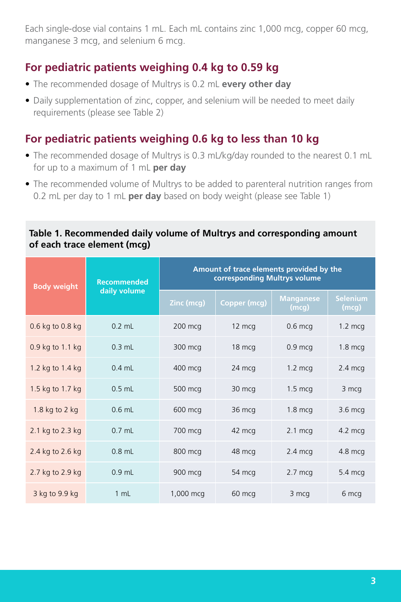Each single-dose vial contains 1 mL. Each mL contains zinc 1,000 mcg, copper 60 mcg, manganese 3 mcg, and selenium 6 mcg.

## **For pediatric patients weighing 0.4 kg to 0.59 kg**

- The recommended dosage of Multrys is 0.2 mL **every other day**
- Daily supplementation of zinc, copper, and selenium will be needed to meet daily requirements (please see Table 2)

## **For pediatric patients weighing 0.6 kg to less than 10 kg**

- The recommended dosage of Multrys is 0.3 mL/kg/day rounded to the nearest 0.1 mL for up to a maximum of 1 mL **per day**
- The recommended volume of Multrys to be added to parenteral nutrition ranges from 0.2 mL per day to 1 mL **per day** based on body weight (please see Table 1)

#### **Table 1. Recommended daily volume of Multrys and corresponding amount of each trace element (mcg)**

| <b>Body weight</b> | <b>Recommended</b><br>daily volume | Amount of trace elements provided by the<br>corresponding Multrys volume |              |                    |                          |
|--------------------|------------------------------------|--------------------------------------------------------------------------|--------------|--------------------|--------------------------|
|                    |                                    | Zinc (mcg)                                                               | Copper (mcg) | Manganese<br>(mcg) | <b>Selenium</b><br>(mcg) |
| 0.6 kg to 0.8 kg   | $0.2$ mL                           | 200 mcg                                                                  | 12 mcg       | $0.6$ mcg          | $1.2 \text{ mcq}$        |
| 0.9 kg to 1.1 kg   | $0.3$ mL                           | 300 mcg                                                                  | 18 mcg       | $0.9$ mcg          | $1.8$ mcg                |
| 1.2 kg to 1.4 kg   | $0.4$ mL                           | 400 mcg                                                                  | 24 mcg       | $1.2 \text{ mca}$  | $2.4 \text{ mca}$        |
| 1.5 kg to 1.7 kg   | $0.5$ mL                           | 500 mcg                                                                  | 30 mcg       | $1.5 \text{ mca}$  | 3 mcg                    |
| 1.8 kg to $2$ kg   | $0.6$ mL                           | 600 mcg                                                                  | 36 mcg       | $1.8$ mcg          | 3.6 mcg                  |
| 2.1 kg to 2.3 kg   | $0.7$ mL                           | 700 mcg                                                                  | 42 mcg       | $2.1 \text{ mca}$  | $4.2 \text{ mca}$        |
| 2.4 kg to 2.6 kg   | $0.8$ mL                           | 800 mcg                                                                  | 48 mcg       | $2.4 \text{ mcg}$  | 4.8 mcg                  |
| 2.7 kg to 2.9 kg   | $0.9$ mL                           | 900 mcg                                                                  | 54 mcg       | $2.7$ mcg          | 5.4 mcg                  |
| 3 kg to 9.9 kg     | 1 mL                               | 1,000 mcg                                                                | 60 mcg       | 3 mcg              | 6 mcg                    |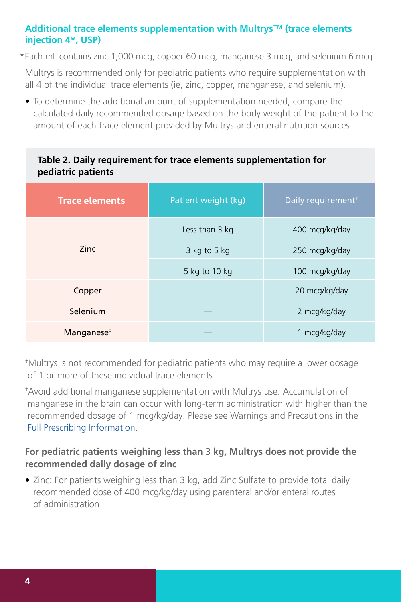## **Additional trace elements supplementation with Multrys™ (trace elements injection 4\*, USP)**

\*Each mL contains zinc 1,000 mcg, copper 60 mcg, manganese 3 mcg, and selenium 6 mcg.

Multrys is recommended only for pediatric patients who require supplementation with all 4 of the individual trace elements (ie, zinc, copper, manganese, and selenium).

• To determine the additional amount of supplementation needed, compare the calculated daily recommended dosage based on the body weight of the patient to the amount of each trace element provided by Multrys and enteral nutrition sources

## **Table 2. Daily requirement for trace elements supplementation for pediatric patients**

| <b>Trace elements</b> | Patient weight (kg) | Daily requirement <sup>†</sup> |  |
|-----------------------|---------------------|--------------------------------|--|
|                       | Less than 3 kg      | 400 mcg/kg/day                 |  |
| <b>Zinc</b>           | $3$ kg to 5 kg      | 250 mcg/kg/day                 |  |
|                       | 5 kg to 10 kg       | 100 mcg/kg/day                 |  |
| Copper                |                     | 20 mcg/kg/day                  |  |
| Selenium              |                     | 2 mcg/kg/day                   |  |
| Manganese $*$         |                     | 1 mcg/kg/day                   |  |

† Multrys is not recommended for pediatric patients who may require a lower dosage of 1 or more of these individual trace elements.

‡ Avoid additional manganese supplementation with Multrys use. Accumulation of manganese in the brain can occur with long-term administration with higher than the recommended dosage of 1 mcg/kg/day. Please see Warnings and Precautions in the [Full Prescribing Information.](https://americanregent.com/media/3158/ref-1835_multrys-insert-in9302-rev-6-2021.pdf)

## **For pediatric patients weighing less than 3 kg, Multrys does not provide the recommended daily dosage of zinc**

• Zinc: For patients weighing less than 3 kg, add Zinc Sulfate to provide total daily recommended dose of 400 mcg/kg/day using parenteral and/or enteral routes of administration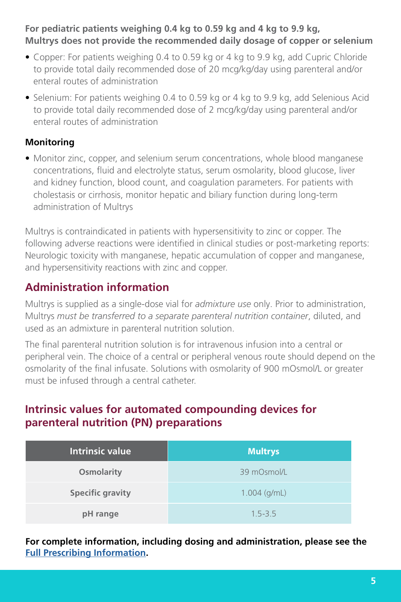## **For pediatric patients weighing 0.4 kg to 0.59 kg and 4 kg to 9.9 kg, Multrys does not provide the recommended daily dosage of copper or selenium**

- Copper: For patients weighing 0.4 to 0.59 kg or 4 kg to 9.9 kg, add Cupric Chloride to provide total daily recommended dose of 20 mcg/kg/day using parenteral and/or enteral routes of administration
- Selenium: For patients weighing 0.4 to 0.59 kg or 4 kg to 9.9 kg, add Selenious Acid to provide total daily recommended dose of 2 mcg/kg/day using parenteral and/or enteral routes of administration

## **Monitoring**

• Monitor zinc, copper, and selenium serum concentrations, whole blood manganese concentrations, fluid and electrolyte status, serum osmolarity, blood glucose, liver and kidney function, blood count, and coagulation parameters. For patients with cholestasis or cirrhosis, monitor hepatic and biliary function during long-term administration of Multrys

Multrys is contraindicated in patients with hypersensitivity to zinc or copper. The following adverse reactions were identified in clinical studies or post-marketing reports: Neurologic toxicity with manganese, hepatic accumulation of copper and manganese, and hypersensitivity reactions with zinc and copper.

## **Administration information**

Multrys is supplied as a single-dose vial for *admixture use* only. Prior to administration, Multrys *must be transferred to a separate parenteral nutrition container*, diluted, and used as an admixture in parenteral nutrition solution.

The final parenteral nutrition solution is for intravenous infusion into a central or peripheral vein. The choice of a central or peripheral venous route should depend on the osmolarity of the final infusate. Solutions with osmolarity of 900 mOsmol/L or greater must be infused through a central catheter.

## **Intrinsic values for automated compounding devices for parenteral nutrition (PN) preparations**

| Intrinsic value         | <b>Multrys</b> |  |
|-------------------------|----------------|--|
| <b>Osmolarity</b>       | 39 mOsmol/L    |  |
| <b>Specific gravity</b> | $1.004$ (g/mL) |  |
| pH range                | $1.5 - 3.5$    |  |

**For complete information, including dosing and administration, please see the [Full Prescribing Information](https://americanregent.com/media/3158/ref-1835_multrys-insert-in9302-rev-6-2021.pdf).**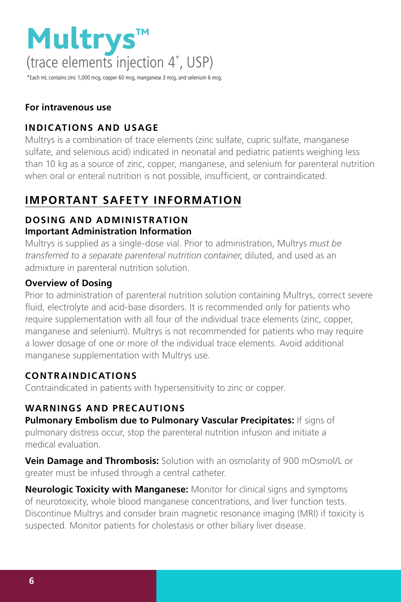

\*Each mL contains zinc 1,000 mcg, copper 60 mcg, manganese 3 mcg, and selenium 6 mcg.

## **For intravenous use**

## **INDICATIONS AND USAGE**

Multrys is a combination of trace elements (zinc sulfate, cupric sulfate, manganese sulfate, and selenious acid) indicated in neonatal and pediatric patients weighing less than 10 kg as a source of zinc, copper, manganese, and selenium for parenteral nutrition when oral or enteral nutrition is not possible, insufficient, or contraindicated.

## **IMPORTANT SAFETY INFORMATION**

## **DOSING AND ADMINISTRATION Important Administration Information**

Multrys is supplied as a single-dose vial. Prior to administration, Multrys *must be transferred to a separate parenteral nutrition container*, diluted, and used as an admixture in parenteral nutrition solution.

## **Overview of Dosing**

Prior to administration of parenteral nutrition solution containing Multrys, correct severe fluid, electrolyte and acid-base disorders. It is recommended only for patients who require supplementation with all four of the individual trace elements (zinc, copper, manganese and selenium). Multrys is not recommended for patients who may require a lower dosage of one or more of the individual trace elements. Avoid additional manganese supplementation with Multrys use.

## **CONTRAINDICATIONS**

Contraindicated in patients with hypersensitivity to zinc or copper.

## **WARNINGS AND PRECAUTIONS**

**Pulmonary Embolism due to Pulmonary Vascular Precipitates:** If signs of pulmonary distress occur, stop the parenteral nutrition infusion and initiate a medical evaluation.

**Vein Damage and Thrombosis:** Solution with an osmolarity of 900 mOsmol/L or greater must be infused through a central catheter.

**Neurologic Toxicity with Manganese:** Monitor for clinical signs and symptoms of neurotoxicity, whole blood manganese concentrations, and liver function tests. Discontinue Multrys and consider brain magnetic resonance imaging (MRI) if toxicity is suspected. Monitor patients for cholestasis or other biliary liver disease.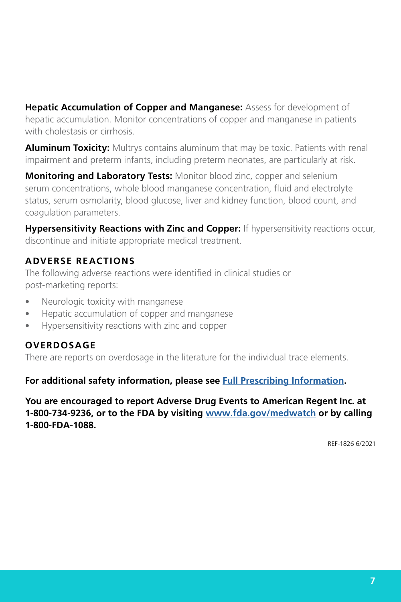**Hepatic Accumulation of Copper and Manganese:** Assess for development of hepatic accumulation. Monitor concentrations of copper and manganese in patients with cholestasis or cirrhosis.

**Aluminum Toxicity:** Multrys contains aluminum that may be toxic. Patients with renal impairment and preterm infants, including preterm neonates, are particularly at risk.

**Monitoring and Laboratory Tests:** Monitor blood zinc, copper and selenium serum concentrations, whole blood manganese concentration, fluid and electrolyte status, serum osmolarity, blood glucose, liver and kidney function, blood count, and coagulation parameters.

**Hypersensitivity Reactions with Zinc and Copper:** If hypersensitivity reactions occur, discontinue and initiate appropriate medical treatment.

## **ADVERSE REACTIONS**

The following adverse reactions were identified in clinical studies or post-marketing reports:

- Neurologic toxicity with manganese
- Hepatic accumulation of copper and manganese
- Hypersensitivity reactions with zinc and copper

### **OVERDOSAGE**

There are reports on overdosage in the literature for the individual trace elements.

**For additional safety information, please see [Full Prescribing Information.](https://americanregent.com/media/3158/ref-1835_multrys-insert-in9302-rev-6-2021.pdf)**

**You are encouraged to report Adverse Drug Events to American Regent Inc. at 1-800-734-9236, or to the FDA by visiting [www.fda.gov/medwatch](https://www.fda.gov/safety/medwatch-fda-safety-information-and-adverse-event-reporting-program) or by calling 1-800-FDA-1088.**

REF-1826 6/2021